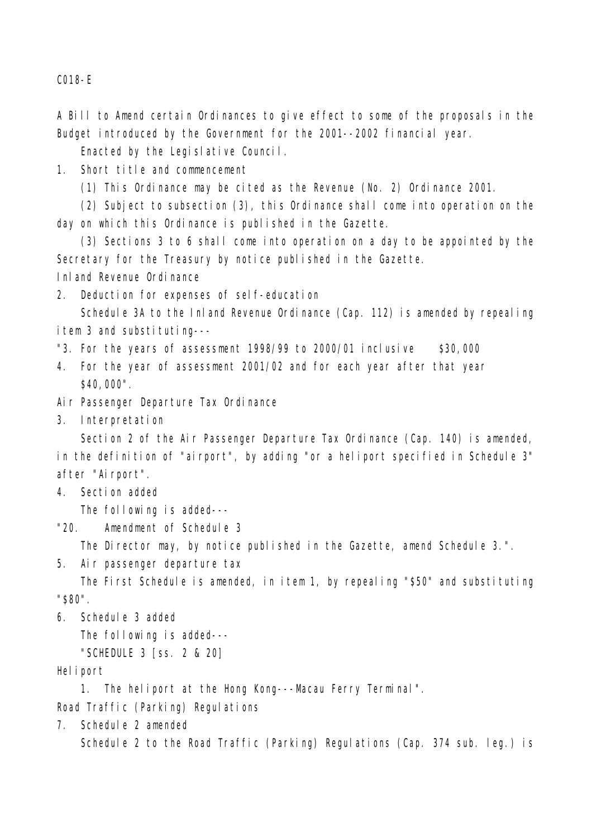C018-E

A Bill to Amend certain Ordinances to give effect to some of the proposals in the Budget introduced by the Government for the 2001--2002 financial year.

Enacted by the Legislative Council.

1. Short title and commencement

(1) This Ordinance may be cited as the Revenue (No. 2) Ordinance 2001.

(2) Subject to subsection (3), this Ordinance shall come into operation on the day on which this Ordinance is published in the Gazette.

(3) Sections 3 to 6 shall come into operation on a day to be appointed by the Secretary for the Treasury by notice published in the Gazette.

Inland Revenue Ordinance

2. Deduction for expenses of self-education

Schedule 3A to the Inland Revenue Ordinance (Cap. 112) is amended by repealing item 3 and substituting---

"3. For the years of assessment  $1998/99$  to  $2000/01$  inclusive \$30,000

- 4. For the year of assessment 2001/02 and for each year after that year \$40,000".
- Air Passenger Departure Tax Ordinance

3. Interpretation

Section 2 of the Air Passenger Departure Tax Ordinance (Cap. 140) is amended, in the definition of "airport", by adding "or a heliport specified in Schedule 3" after "Airport".

4. Section added

The following is added---

"20. Amendment of Schedule 3

The Director may, by notice published in the Gazette, amend Schedule 3.".

5. Air passenger departure tax

The First Schedule is amended, in item 1, by repealing "\$50" and substituting "\$80".

6. Schedule 3 added

The following is added---

"SCHEDULE 3 [ss. 2 & 20]

## Heliport

1. The heliport at the Hong Kong---Macau Ferry Terminal".

Road Traffic (Parking) Regulations

7. Schedule 2 amended

Schedule 2 to the Road Traffic (Parking) Regulations (Cap. 374 sub. leg.) is